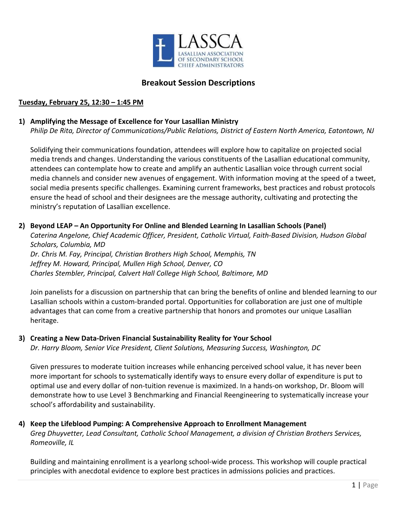

# **Breakout Session Descriptions**

## **Tuesday, February 25, 12:30 – 1:45 PM**

### **1) Amplifying the Message of Excellence for Your Lasallian Ministry**

*Philip De Rita, Director of Communications/Public Relations, District of Eastern North America, Eatontown, NJ*

Solidifying their communications foundation, attendees will explore how to capitalize on projected social media trends and changes. Understanding the various constituents of the Lasallian educational community, attendees can contemplate how to create and amplify an authentic Lasallian voice through current social media channels and consider new avenues of engagement. With information moving at the speed of a tweet, social media presents specific challenges. Examining current frameworks, best practices and robust protocols ensure the head of school and their designees are the message authority, cultivating and protecting the ministry's reputation of Lasallian excellence.

#### **2) Beyond LEAP – An Opportunity For Online and Blended Learning In Lasallian Schools (Panel)**

*Caterina Angelone, Chief Academic Officer, President, Catholic Virtual, Faith-Based Division, Hudson Global Scholars, Columbia, MD*

*Dr. Chris M. Fay, Principal, Christian Brothers High School, Memphis, TN Jeffrey M. Howard, Principal, Mullen High School, Denver, CO Charles Stembler, Principal, Calvert Hall College High School, Baltimore, MD*

Join panelists for a discussion on partnership that can bring the benefits of online and blended learning to our Lasallian schools within a custom-branded portal. Opportunities for collaboration are just one of multiple advantages that can come from a creative partnership that honors and promotes our unique Lasallian heritage.

#### **3) Creating a New Data-Driven Financial Sustainability Reality for Your School**

*Dr. Harry Bloom, Senior Vice President, Client Solutions, Measuring Success, Washington, DC*

Given pressures to moderate tuition increases while enhancing perceived school value, it has never been more important for schools to systematically identify ways to ensure every dollar of expenditure is put to optimal use and every dollar of non-tuition revenue is maximized. In a hands-on workshop, Dr. Bloom will demonstrate how to use Level 3 Benchmarking and Financial Reengineering to systematically increase your school's affordability and sustainability.

### **4) Keep the Lifeblood Pumping: A Comprehensive Approach to Enrollment Management** *Greg Dhuyvetter, Lead Consultant, Catholic School Management, a division of Christian Brothers Services, Romeoville, IL*

Building and maintaining enrollment is a yearlong school-wide process. This workshop will couple practical principles with anecdotal evidence to explore best practices in admissions policies and practices.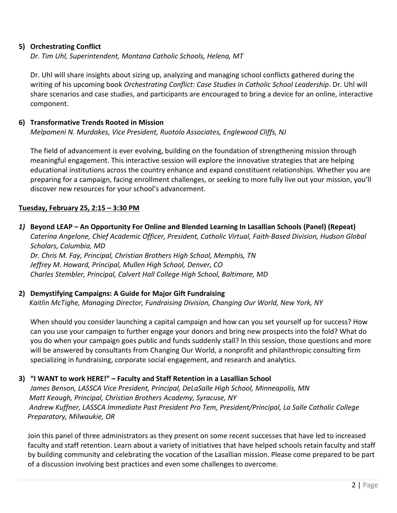# **5) Orchestrating Conflict**

*Dr. Tim Uhl, Superintendent, Montana Catholic Schools, Helena, MT*

Dr. Uhl will share insights about sizing up, analyzing and managing school conflicts gathered during the writing of his upcoming book *Orchestrating Conflict: Case Studies in Catholic School Leadership*. Dr. Uhl will share scenarios and case studies, and participants are encouraged to bring a device for an online, interactive component.

## **6) Transformative Trends Rooted in Mission**

*Melpomeni N. Murdakes, Vice President, Ruotolo Associates, Englewood Cliffs, NJ*

The field of advancement is ever evolving, building on the foundation of strengthening mission through meaningful engagement. This interactive session will explore the innovative strategies that are helping educational institutions across the country enhance and expand constituent relationships. Whether you are preparing for a campaign, facing enrollment challenges, or seeking to more fully live out your mission, you'll discover new resources for your school's advancement.

## **Tuesday, February 25, 2:15 – 3:30 PM**

*1)* **Beyond LEAP – An Opportunity For Online and Blended Learning In Lasallian Schools (Panel) (Repeat)** *Caterina Angelone, Chief Academic Officer, President, Catholic Virtual, Faith-Based Division, Hudson Global Scholars, Columbia, MD Dr. Chris M. Fay, Principal, Christian Brothers High School, Memphis, TN Jeffrey M. Howard, Principal, Mullen High School, Denver, CO Charles Stembler, Principal, Calvert Hall College High School, Baltimore, MD*

#### **2) Demystifying Campaigns: A Guide for Major Gift Fundraising**

 *Kaitlin McTighe, Managing Director, Fundraising Division, Changing Our World, New York, NY*

When should you consider launching a capital campaign and how can you set yourself up for success? How can you use your campaign to further engage your donors and bring new prospects into the fold? What do you do when your campaign goes public and funds suddenly stall? In this session, those questions and more will be answered by consultants from Changing Our World, a nonprofit and philanthropic consulting firm specializing in fundraising, corporate social engagement, and research and analytics.

# **3) "I WANT to work HERE!" – Faculty and Staff Retention in a Lasallian School**

*James Benson, LASSCA Vice President, Principal, DeLaSalle High School, Minneapolis, MN Matt Keough, Principal, Christian Brothers Academy, Syracuse, NY Andrew Kuffner, LASSCA Immediate Past President Pro Tem, President/Principal, La Salle Catholic College Preparatory, Milwaukie, OR*

Join this panel of three administrators as they present on some recent successes that have led to increased faculty and staff retention. Learn about a variety of initiatives that have helped schools retain faculty and staff by building community and celebrating the vocation of the Lasallian mission. Please come prepared to be part of a discussion involving best practices and even some challenges to overcome.